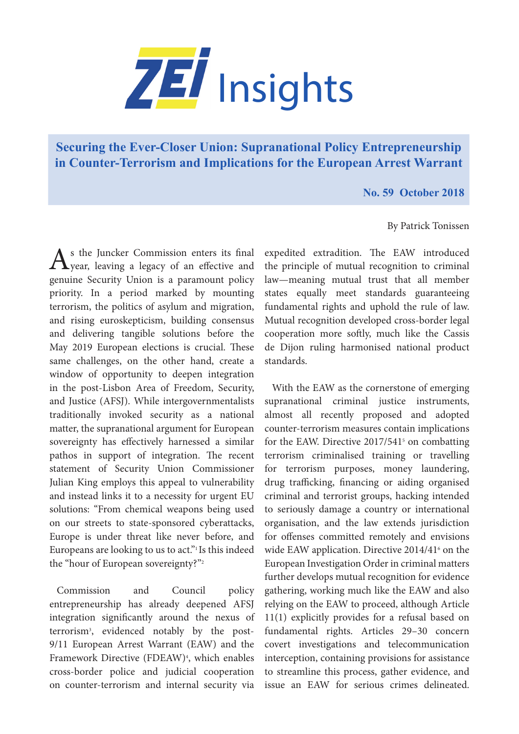

## **[Securing the Ever-Closer Union: Supranational Policy Entrepreneurship](https://www.zei.uni-bonn.de/publications/zei-insights)  in Counter-Terrorism and Implications for the European Arrest Warrant**

**No. 59 October 2018**

## By Patrick Tonissen

As the Juncker Commission enters its final<br>
year, leaving a legacy of an effective and genuine Security Union is a paramount policy priority. In a period marked by mounting terrorism, the politics of asylum and migration, and rising euroskepticism, building consensus and delivering tangible solutions before the May 2019 European elections is crucial. These same challenges, on the other hand, create a window of opportunity to deepen integration in the post-Lisbon Area of Freedom, Security, and Justice (AFSJ). While intergovernmentalists traditionally invoked security as a national matter, the supranational argument for European sovereignty has effectively harnessed a similar pathos in support of integration. The recent statement of Security Union Commissioner Julian King employs this appeal to vulnerability and instead links it to a necessity for urgent EU solutions: "From chemical weapons being used on our streets to state-sponsored cyberattacks, Europe is under threat like never before, and Europeans are looking to us to act."1 Is this indeed the "hour of European sovereignty?"2

Commission and Council policy entrepreneurship has already deepened AFSJ integration significantly around the nexus of terrorism3 , evidenced notably by the post-9/11 European Arrest Warrant (EAW) and the Framework Directive (FDEAW)4 , which enables cross-border police and judicial cooperation on counter-terrorism and internal security via

expedited extradition. The EAW introduced the principle of mutual recognition to criminal law—meaning mutual trust that all member states equally meet standards guaranteeing fundamental rights and uphold the rule of law. Mutual recognition developed cross-border legal cooperation more softly, much like the Cassis de Dijon ruling harmonised national product standards.

With the EAW as the cornerstone of emerging supranational criminal justice instruments, almost all recently proposed and adopted counter-terrorism measures contain implications for the EAW. Directive 2017/541<sup>5</sup> on combatting terrorism criminalised training or travelling for terrorism purposes, money laundering, drug trafficking, financing or aiding organised criminal and terrorist groups, hacking intended to seriously damage a country or international organisation, and the law extends jurisdiction for offenses committed remotely and envisions wide EAW application. Directive 2014/41<sup>6</sup> on the European Investigation Order in criminal matters further develops mutual recognition for evidence gathering, working much like the EAW and also relying on the EAW to proceed, although Article 11(1) explicitly provides for a refusal based on fundamental rights. Articles 29–30 concern covert investigations and telecommunication interception, containing provisions for assistance to streamline this process, gather evidence, and issue an EAW for serious crimes delineated.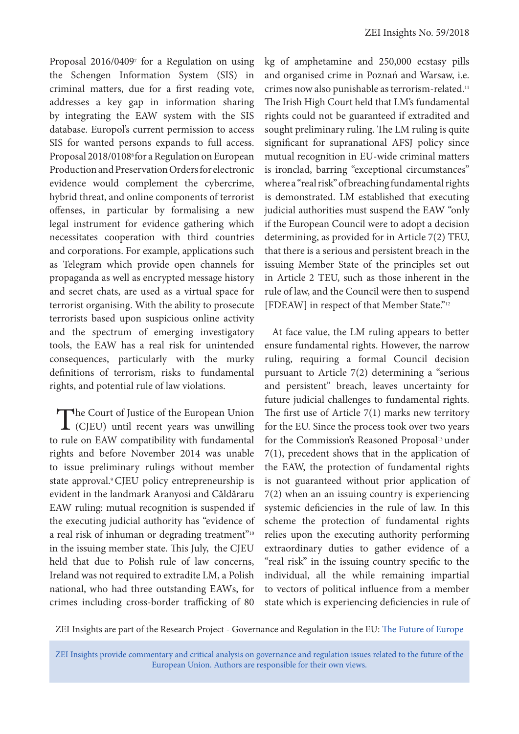Proposal 2016/0409<sup>7</sup> for a Regulation on using the Schengen Information System (SIS) in criminal matters, due for a first reading vote, addresses a key gap in information sharing by integrating the EAW system with the SIS database. Europol's current permission to access SIS for wanted persons expands to full access. Proposal 2018/01088 for a Regulation on European Production and Preservation Orders for electronic evidence would complement the cybercrime, hybrid threat, and online components of terrorist offenses, in particular by formalising a new legal instrument for evidence gathering which necessitates cooperation with third countries and corporations. For example, applications such as Telegram which provide open channels for propaganda as well as encrypted message history and secret chats, are used as a virtual space for terrorist organising. With the ability to prosecute terrorists based upon suspicious online activity and the spectrum of emerging investigatory tools, the EAW has a real risk for unintended consequences, particularly with the murky definitions of terrorism, risks to fundamental rights, and potential rule of law violations.

The Court of Justice of the European Union<br>
(CJEU) until recent years was unwilling to rule on EAW compatibility with fundamental rights and before November 2014 was unable to issue preliminary rulings without member state approval.<sup>9</sup> CJEU policy entrepreneurship is evident in the landmark Aranyosi and Căldăraru EAW ruling: mutual recognition is suspended if the executing judicial authority has "evidence of a real risk of inhuman or degrading treatment"<sup>10</sup> in the issuing member state. This July, the CJEU held that due to Polish rule of law concerns, Ireland was not required to extradite LM, a Polish national, who had three outstanding EAWs, for crimes including cross-border trafficking of 80

kg of amphetamine and 250,000 ecstasy pills and organised crime in Poznań and Warsaw, i.e. crimes now also punishable as terrorism-related.11 The Irish High Court held that LM's fundamental rights could not be guaranteed if extradited and sought preliminary ruling. The LM ruling is quite significant for supranational AFSJ policy since mutual recognition in EU-wide criminal matters is ironclad, barring "exceptional circumstances" where a "real risk" of breaching fundamental rights is demonstrated. LM established that executing judicial authorities must suspend the EAW "only if the European Council were to adopt a decision determining, as provided for in Article 7(2) TEU, that there is a serious and persistent breach in the issuing Member State of the principles set out in Article 2 TEU, such as those inherent in the rule of law, and the Council were then to suspend [FDEAW] in respect of that Member State."<sup>12</sup>

At face value, the LM ruling appears to better ensure fundamental rights. However, the narrow ruling, requiring a formal Council decision pursuant to Article 7(2) determining a "serious and persistent" breach, leaves uncertainty for future judicial challenges to fundamental rights. The first use of Article  $7(1)$  marks new territory for the EU. Since the process took over two years for the Commission's Reasoned Proposal<sup>13</sup> under 7(1), precedent shows that in the application of the EAW, the protection of fundamental rights is not guaranteed without prior application of 7(2) when an an issuing country is experiencing systemic deficiencies in the rule of law. In this scheme the protection of fundamental rights relies upon the executing authority performing extraordinary duties to gather evidence of a "real risk" in the issuing country specific to the individual, all the while remaining impartial to vectors of political influence from a member state which is experiencing deficiencies in rule of

ZEI Insights are part of the Research Project - Governance and Regulation in the EU: [The Future of Europe](https://www.zei.uni-bonn.de/research/governance-and-regulation?set_language=en)

ZEI Insights provide commentary and critical analysis on governance and regulation issues related to the future of the European Union. Authors are responsible for their own views.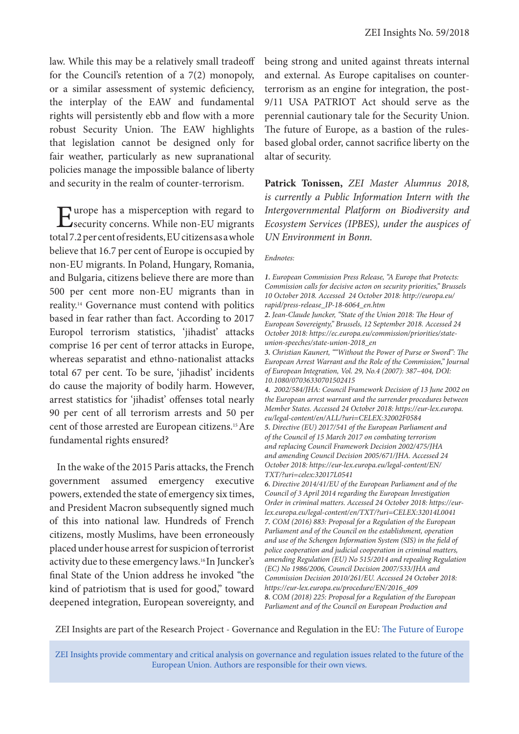law. While this may be a relatively small tradeoff for the Council's retention of a 7(2) monopoly, or a similar assessment of systemic deficiency, the interplay of the EAW and fundamental rights will persistently ebb and flow with a more robust Security Union. The EAW highlights that legislation cannot be designed only for fair weather, particularly as new supranational policies manage the impossible balance of liberty and security in the realm of counter-terrorism.

Europe has a misperception with regard to<br>
security concerns. While non-EU migrants total 7.2 per cent of residents, EU citizens as a whole believe that 16.7 per cent of Europe is occupied by non-EU migrants. In Poland, Hungary, Romania, and Bulgaria, citizens believe there are more than 500 per cent more non-EU migrants than in reality.14 Governance must contend with politics based in fear rather than fact. According to 2017 Europol terrorism statistics, 'jihadist' attacks comprise 16 per cent of terror attacks in Europe, whereas separatist and ethno-nationalist attacks total 67 per cent. To be sure, 'jihadist' incidents do cause the majority of bodily harm. However, arrest statistics for 'jihadist' offenses total nearly 90 per cent of all terrorism arrests and 50 per cent of those arrested are European citizens.15 Are fundamental rights ensured?

In the wake of the 2015 Paris attacks, the French government assumed emergency executive powers, extended the state of emergency six times, and President Macron subsequently signed much of this into national law. Hundreds of French citizens, mostly Muslims, have been erroneously placed under house arrest for suspicion of terrorist activity due to these emergency laws.16 In Juncker's final State of the Union address he invoked "the kind of patriotism that is used for good," toward deepened integration, European sovereignty, and

being strong and united against threats internal and external. As Europe capitalises on counterterrorism as an engine for integration, the post-9/11 USA PATRIOT Act should serve as the perennial cautionary tale for the Security Union. The future of Europe, as a bastion of the rulesbased global order, cannot sacrifice liberty on the altar of security.

**Patrick Tonissen,** *ZEI Master Alumnus 2018, is currently a Public Information Intern with the Intergovernmental Platform on Biodiversity and Ecosystem Services (IPBES), under the auspices of UN Environment in Bonn.* 

## *Endnotes:*

*1. European Commission Press Release, "A Europe that Protects: Commission calls for decisive acton on security priorities," Brussels 10 October 2018. Accessed 24 October 2018: http://europa.eu/ rapid/press-release\_IP-18-6064\_en.htm*

*3. Christian Kaunert, ""Without the Power of Purse or Sword": The European Arrest Warrant and the Role of the Commission," Journal of European Integration, Vol. 29, No.4 (2007): 387–404, DOI: 10.1080/07036330701502415*

*4. 2002/584/JHA: Council Framework Decision of 13 June 2002 on the European arrest warrant and the surrender procedures between Member States. Accessed 24 October 2018: https://eur-lex.europa. eu/legal-content/en/ALL/?uri=CELEX:32002F0584 5. Directive (EU) 2017/541 of the European Parliament and of the Council of 15 March 2017 on combating terrorism and replacing Council Framework Decision 2002/475/JHA and amending Council Decision 2005/671/JHA. Accessed 24* 

*October 2018: https://eur-lex.europa.eu/legal-content/EN/ TXT/?uri=celex:32017L0541*

*6. Directive 2014/41/EU of the European Parliament and of the Council of 3 April 2014 regarding the European Investigation Order in criminal matters. Accessed 24 October 2018: https://eurlex.europa.eu/legal-content/en/TXT/?uri=CELEX:32014L0041 7. COM (2016) 883: Proposal for a Regulation of the European Parliament and of the Council on the establishment, operation and use of the Schengen Information System (SIS) in the field of police cooperation and judicial cooperation in criminal matters, amending Regulation (EU) No 515/2014 and repealing Regulation (EC) No 1986/2006, Council Decision 2007/533/JHA and Commission Decision 2010/261/EU. Accessed 24 October 2018: https://eur-lex.europa.eu/procedure/EN/2016\_409 8. COM (2018) 225: Proposal for a Regulation of the European Parliament and of the Council on European Production and* 

ZEI Insights are part of the Research Project - Governance and Regulation in the EU: [The Future of Europe](https://www.zei.uni-bonn.de/research/governance-and-regulation?set_language=en)

ZEI Insights provide commentary and critical analysis on governance and regulation issues related to the future of the European Union. Authors are responsible for their own views.

*<sup>2.</sup> Jean-Claude Juncker, "State of the Union 2018: The Hour of European Sovereignty," Brussels, 12 September 2018. Accessed 24 October 2018: https://ec.europa.eu/commission/priorities/stateunion-speeches/state-union-2018\_en*